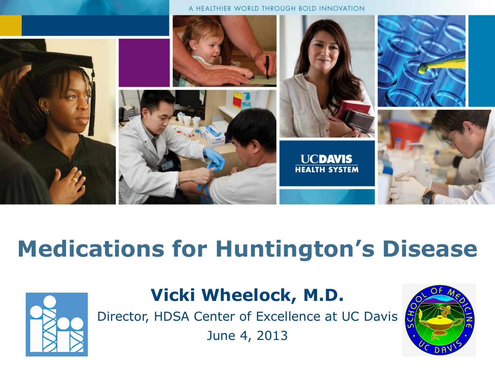

# **Medications for Huntington's Disease**



#### **Vicki Wheelock, M.D.**

Director, HDSA Center of Excellence at UC Davis

June 4, 2013

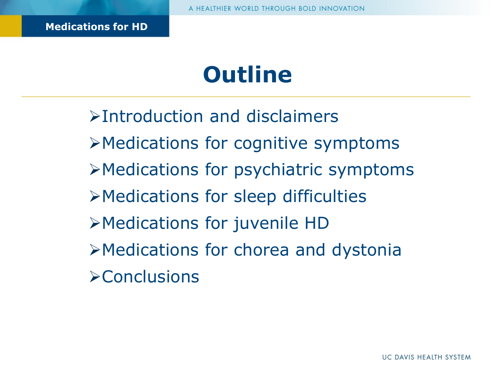# **Outline**

Introduction and disclaimers Medications for cognitive symptoms Medications for psychiatric symptoms Medications for sleep difficulties Medications for juvenile HD Medications for chorea and dystonia **Example 18**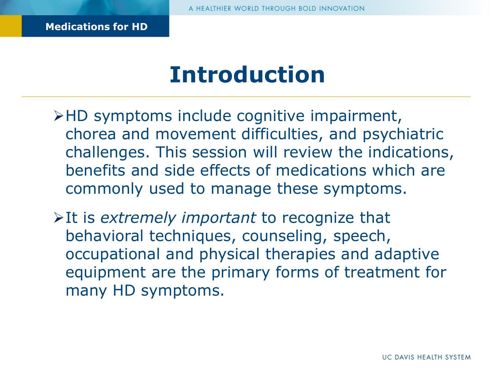#### **Introduction**

- HD symptoms include cognitive impairment, chorea and movement difficulties, and psychiatric challenges. This session will review the indications, benefits and side effects of medications which are commonly used to manage these symptoms.
- It is *extremely important* to recognize that behavioral techniques, counseling, speech, occupational and physical therapies and adaptive equipment are the primary forms of treatment for many HD symptoms.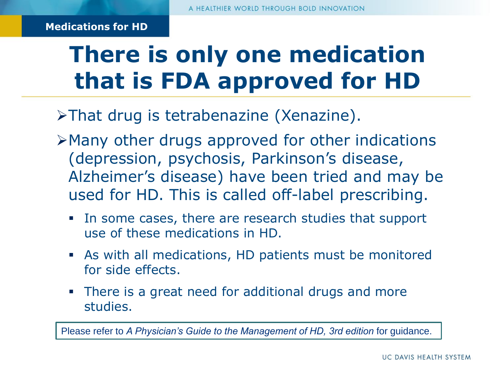# **There is only one medication that is FDA approved for HD**

 $\triangleright$ That drug is tetrabenazine (Xenazine).

- Many other drugs approved for other indications (depression, psychosis, Parkinson's disease, Alzheimer's disease) have been tried and may be used for HD. This is called off-label prescribing.
	- In some cases, there are research studies that support use of these medications in HD.
	- As with all medications, HD patients must be monitored for side effects.
	- There is a great need for additional drugs and more studies.

Please refer to *A Physician's Guide to the Management of HD, 3rd edition* for guidance.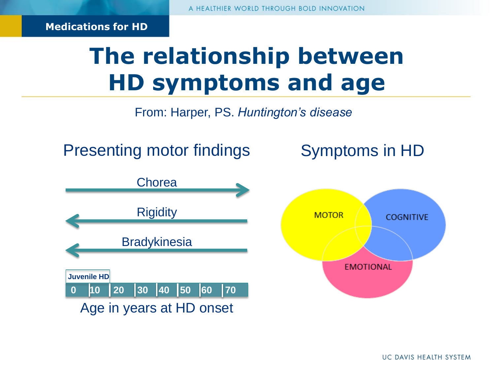# **The relationship between HD symptoms and age**

From: Harper, PS. *Huntington's disease* 

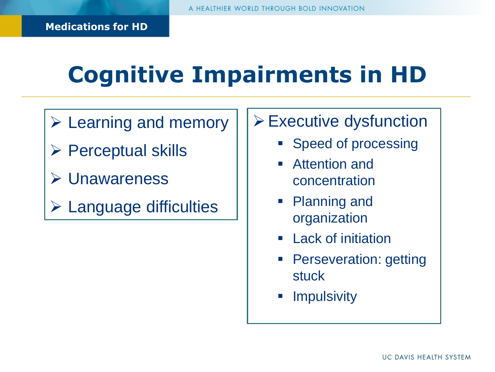# **Cognitive Impairments in HD**

- $\triangleright$  Learning and memory
- $\triangleright$  Perceptual skills
- Unawareness
- Language difficulties
- Executive dysfunction
	- Speed of processing
	- Attention and concentration
	- **Planning and** organization
	- Lack of initiation
	- Perseveration: getting stuck
	- **Impulsivity**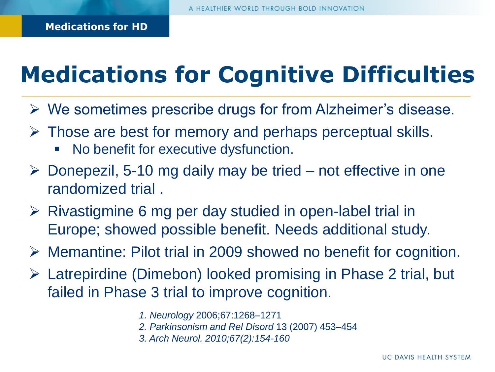# **Medications for Cognitive Difficulties**

- $\triangleright$  We sometimes prescribe drugs for from Alzheimer's disease.
- $\triangleright$  Those are best for memory and perhaps perceptual skills.
	- No benefit for executive dysfunction.
- $\triangleright$  Donepezil, 5-10 mg daily may be tried not effective in one randomized trial .
- $\triangleright$  Rivastigmine 6 mg per day studied in open-label trial in Europe; showed possible benefit. Needs additional study.
- Memantine: Pilot trial in 2009 showed no benefit for cognition.
- Latrepirdine (Dimebon) looked promising in Phase 2 trial, but failed in Phase 3 trial to improve cognition.
	- *1. Neurology* 2006;67:1268–1271
	- *2. Parkinsonism and Rel Disord* 13 (2007) 453–454
	- *3. Arch Neurol. 2010;67(2):154-160*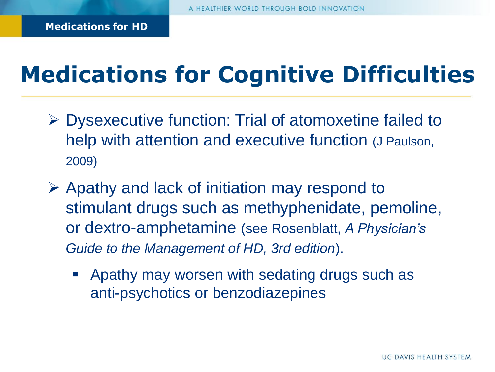# **Medications for Cognitive Difficulties**

- Dysexecutive function: Trial of atomoxetine failed to help with attention and executive function (J Paulson, 2009)
- $\triangleright$  Apathy and lack of initiation may respond to stimulant drugs such as methyphenidate, pemoline, or dextro-amphetamine (see Rosenblatt, *A Physician's Guide to the Management of HD, 3rd edition*).
	- Apathy may worsen with sedating drugs such as anti-psychotics or benzodiazepines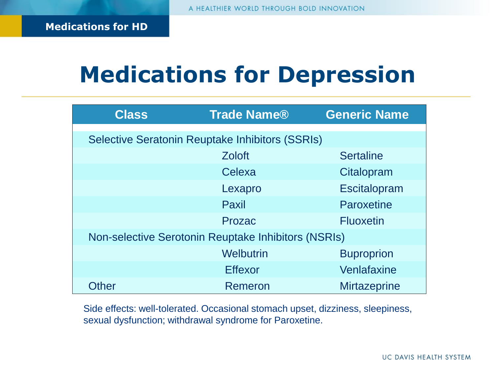## **Medications for Depression**

| <b>Class</b>                                           | <b>Trade Name®</b> | <b>Generic Name</b> |
|--------------------------------------------------------|--------------------|---------------------|
| <b>Selective Seratonin Reuptake Inhibitors (SSRIs)</b> |                    |                     |
|                                                        | <b>Zoloft</b>      | <b>Sertaline</b>    |
|                                                        | Celexa             | Citalopram          |
|                                                        | Lexapro            | Escitalopram        |
|                                                        | Paxil              | Paroxetine          |
|                                                        | Prozac             | <b>Fluoxetin</b>    |
| Non-selective Serotonin Reuptake Inhibitors (NSRIs)    |                    |                     |
|                                                        | Welbutrin          | <b>Buproprion</b>   |
|                                                        | <b>Effexor</b>     | Venlafaxine         |
| Other                                                  | Remeron            | <b>Mirtazeprine</b> |

Side effects: well-tolerated. Occasional stomach upset, dizziness, sleepiness, sexual dysfunction; withdrawal syndrome for Paroxetine.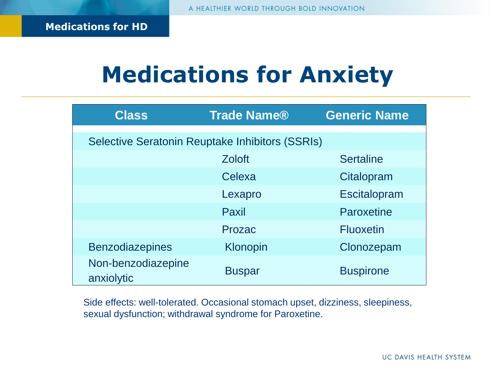# **Medications for Anxiety**

| <b>Class</b>                                           | <b>Trade Name®</b> | <b>Generic Name</b> |
|--------------------------------------------------------|--------------------|---------------------|
| <b>Selective Seratonin Reuptake Inhibitors (SSRIs)</b> |                    |                     |
|                                                        | <b>Zoloft</b>      | <b>Sertaline</b>    |
|                                                        | Celexa             | Citalopram          |
|                                                        | Lexapro            | Escitalopram        |
|                                                        | Paxil              | Paroxetine          |
|                                                        | Prozac             | <b>Fluoxetin</b>    |
| <b>Benzodiazepines</b>                                 | Klonopin           | Clonozepam          |
| Non-benzodiazepine<br>anxiolytic                       | <b>Buspar</b>      | <b>Buspirone</b>    |

Side effects: well-tolerated. Occasional stomach upset, dizziness, sleepiness, sexual dysfunction; withdrawal syndrome for Paroxetine.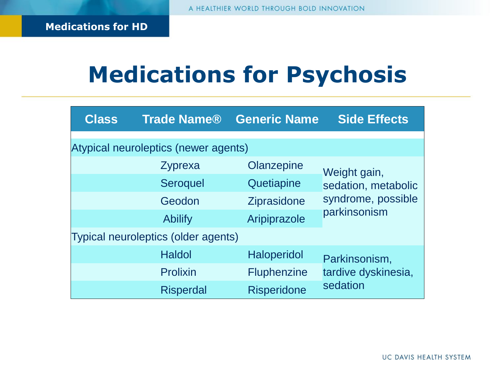# **Medications for Psychosis**

| <b>Class</b> | <b>Trade Name®</b>                   | <b>Generic Name</b> | <b>Side Effects</b> |
|--------------|--------------------------------------|---------------------|---------------------|
|              | Atypical neuroleptics (newer agents) |                     |                     |
|              | Zyprexa                              | Olanzepine          | Weight gain,        |
|              | <b>Seroquel</b>                      | Quetiapine          | sedation, metabolic |
|              | Geodon                               | <b>Ziprasidone</b>  | syndrome, possible  |
|              | <b>Abilify</b>                       | Aripiprazole        | parkinsonism        |
|              | Typical neuroleptics (older agents)  |                     |                     |
|              | <b>Haldol</b>                        | <b>Haloperidol</b>  | Parkinsonism,       |
|              | <b>Prolixin</b>                      | <b>Fluphenzine</b>  | tardive dyskinesia, |
|              | <b>Risperdal</b>                     | <b>Risperidone</b>  | sedation            |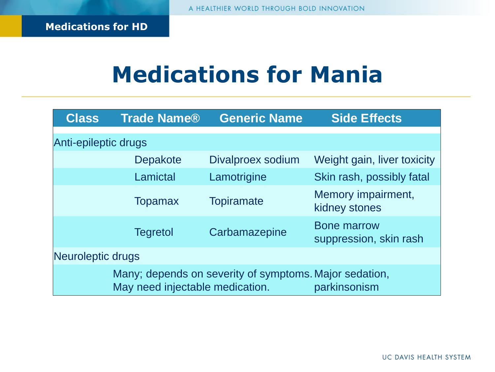# **Medications for Mania**

| <b>Class</b>         | <b>Trade Name®</b>              | <b>Generic Name</b>                                    | <b>Side Effects</b>                          |
|----------------------|---------------------------------|--------------------------------------------------------|----------------------------------------------|
| Anti-epileptic drugs |                                 |                                                        |                                              |
|                      | <b>Depakote</b>                 | Divalproex sodium                                      | Weight gain, liver toxicity                  |
|                      | Lamictal                        | Lamotrigine                                            | Skin rash, possibly fatal                    |
|                      | <b>Topamax</b>                  | <b>Topiramate</b>                                      | Memory impairment,<br>kidney stones          |
|                      | <b>Tegretol</b>                 | Carbamazepine                                          | <b>Bone marrow</b><br>suppression, skin rash |
| Neuroleptic drugs    |                                 |                                                        |                                              |
|                      | May need injectable medication. | Many; depends on severity of symptoms. Major sedation, | parkinsonism                                 |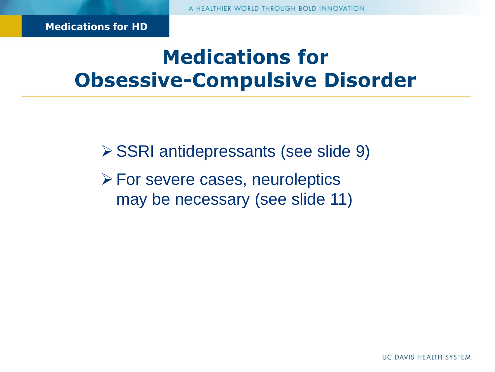#### **Medications for Obsessive-Compulsive Disorder**

SSRI antidepressants (see slide 9)

 $\triangleright$  For severe cases, neuroleptics may be necessary (see slide 11)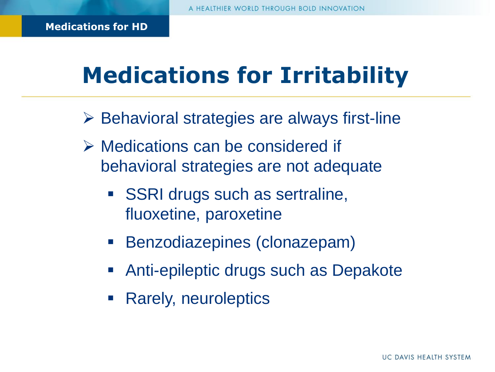# **Medications for Irritability**

- $\triangleright$  Behavioral strategies are always first-line
- Medications can be considered if behavioral strategies are not adequate
	- **SSRI drugs such as sertraline,** fluoxetine, paroxetine
	- **Benzodiazepines (clonazepam)**
	- Anti-epileptic drugs such as Depakote
	- Rarely, neuroleptics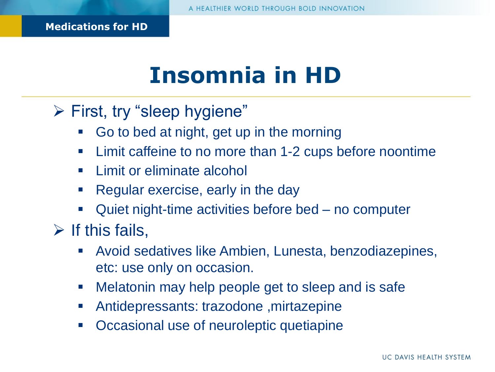# **Insomnia in HD**

First, try "sleep hygiene"

- Go to bed at night, get up in the morning
- **EXA)** Limit caffeine to no more than 1-2 cups before noontime
- **E** Limit or eliminate alcohol
- Regular exercise, early in the day
- Quiet night-time activities before bed no computer
- $\triangleright$  If this fails,
	- Avoid sedatives like Ambien, Lunesta, benzodiazepines, etc: use only on occasion.
	- **Melatonin may help people get to sleep and is safe**
	- Antidepressants: trazodone ,mirtazepine
	- **Occasional use of neuroleptic quetiapine**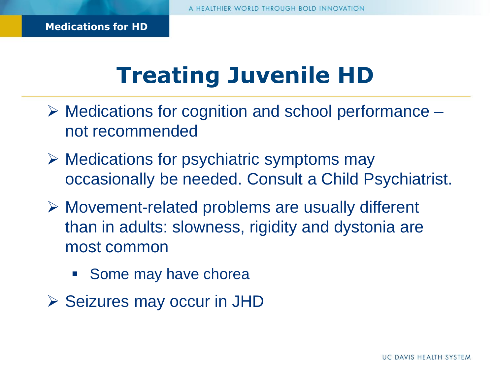# **Treating Juvenile HD**

- $\triangleright$  Medications for cognition and school performance not recommended
- $\triangleright$  Medications for psychiatric symptoms may occasionally be needed. Consult a Child Psychiatrist.
- Movement-related problems are usually different than in adults: slowness, rigidity and dystonia are most common
	- **Some may have chorea**
- $\triangleright$  Seizures may occur in JHD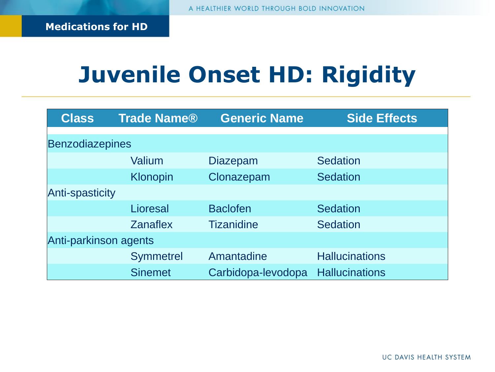# **Juvenile Onset HD: Rigidity**

| <b>Class</b>           | <b>Trade Name®</b> | <b>Generic Name</b> | <b>Side Effects</b>   |
|------------------------|--------------------|---------------------|-----------------------|
| <b>Benzodiazepines</b> |                    |                     |                       |
|                        |                    |                     |                       |
|                        | Valium             | <b>Diazepam</b>     | <b>Sedation</b>       |
|                        | Klonopin           | Clonazepam          | <b>Sedation</b>       |
| <b>Anti-spasticity</b> |                    |                     |                       |
|                        | Lioresal           | <b>Baclofen</b>     | <b>Sedation</b>       |
|                        | <b>Zanaflex</b>    | <b>Tizanidine</b>   | <b>Sedation</b>       |
| Anti-parkinson agents  |                    |                     |                       |
|                        | <b>Symmetrel</b>   | Amantadine          | <b>Hallucinations</b> |
|                        | <b>Sinemet</b>     | Carbidopa-levodopa  | <b>Hallucinations</b> |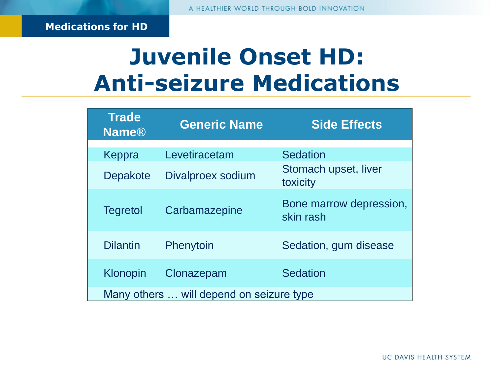#### **Juvenile Onset HD: Anti-seizure Medications**

| <b>Trade</b><br><b>Name®</b> | <b>Generic Name</b>                      | <b>Side Effects</b>                  |
|------------------------------|------------------------------------------|--------------------------------------|
| Keppra                       | Levetiracetam                            | <b>Sedation</b>                      |
| Depakote                     | Divalproex sodium                        | Stomach upset, liver<br>toxicity     |
| <b>Tegretol</b>              | Carbamazepine                            | Bone marrow depression,<br>skin rash |
| <b>Dilantin</b>              | Phenytoin                                | Sedation, gum disease                |
| <b>Klonopin</b>              | Clonazepam                               | <b>Sedation</b>                      |
|                              | Many others  will depend on seizure type |                                      |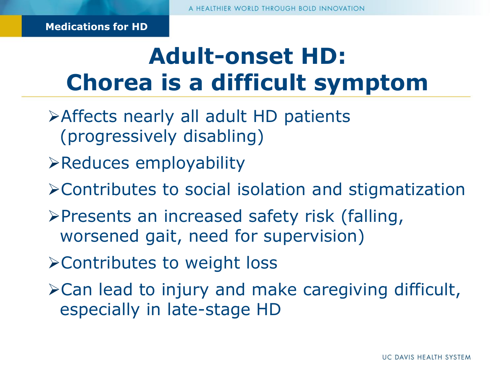# **Adult-onset HD: Chorea is a difficult symptom**

- Affects nearly all adult HD patients (progressively disabling)
- Reduces employability
- Contributes to social isolation and stigmatization
- $\triangleright$ Presents an increased safety risk (falling, worsened gait, need for supervision)
- Contributes to weight loss
- $\triangle$  Can lead to injury and make caregiving difficult, especially in late-stage HD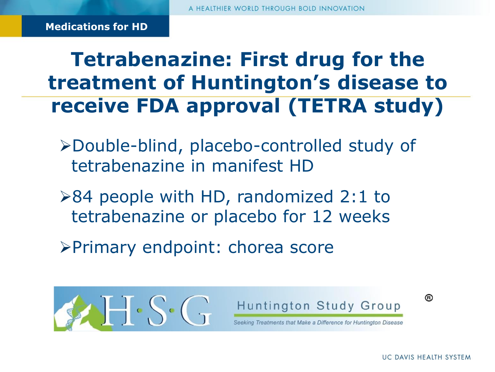**Tetrabenazine: First drug for the treatment of Huntington's disease to receive FDA approval (TETRA study)** 

- Double-blind, placebo-controlled study of tetrabenazine in manifest HD
- $\geq 84$  people with HD, randomized 2:1 to tetrabenazine or placebo for 12 weeks
- Primary endpoint: chorea score





®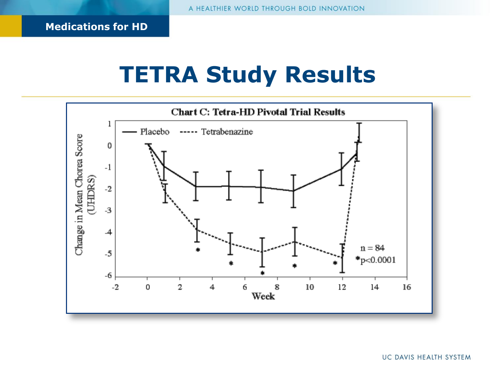#### **TETRA Study Results**

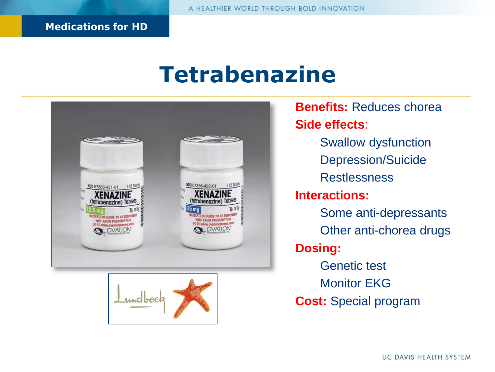#### **Tetrabenazine**





**Benefits:** Reduces chorea **Side effects**: Swallow dysfunction Depression/Suicide **Restlessness Interactions:**  Some anti-depressants Other anti-chorea drugs **Dosing:**  Genetic test Monitor EKG **Cost:** Special program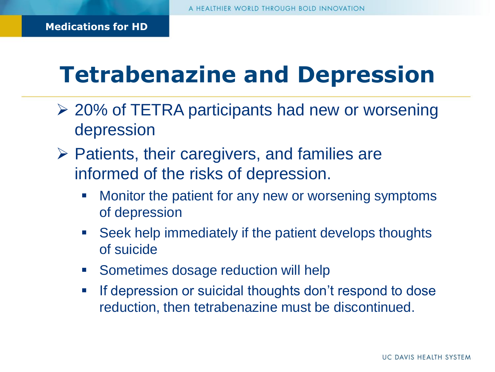# **Tetrabenazine and Depression**

- 20% of TETRA participants had new or worsening depression
- $\triangleright$  Patients, their caregivers, and families are informed of the risks of depression.
	- Monitor the patient for any new or worsening symptoms of depression
	- **Seek help immediately if the patient develops thoughts** of suicide
	- Sometimes dosage reduction will help
	- **If depression or suicidal thoughts don't respond to dose** reduction, then tetrabenazine must be discontinued.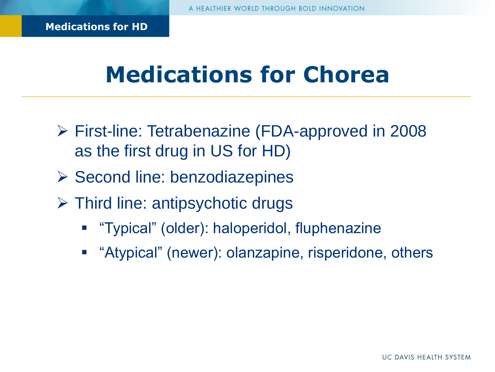## **Medications for Chorea**

- First-line: Tetrabenazine (FDA-approved in 2008 as the first drug in US for HD)
- $\triangleright$  Second line: benzodiazepines
- Third line: antipsychotic drugs
	- "Typical" (older): haloperidol, fluphenazine
	- **E** "Atypical" (newer): olanzapine, risperidone, others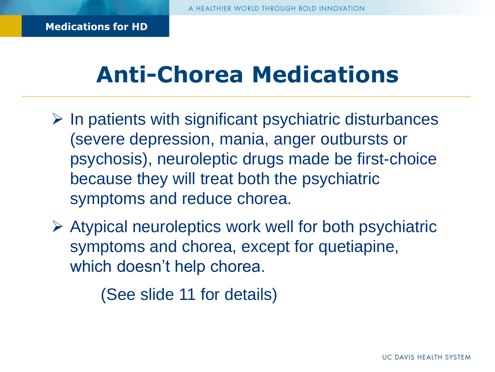# **Anti-Chorea Medications**

- $\triangleright$  In patients with significant psychiatric disturbances (severe depression, mania, anger outbursts or psychosis), neuroleptic drugs made be first-choice because they will treat both the psychiatric symptoms and reduce chorea.
- $\triangleright$  Atypical neuroleptics work well for both psychiatric symptoms and chorea, except for quetiapine, which doesn't help chorea.

(See slide 11 for details)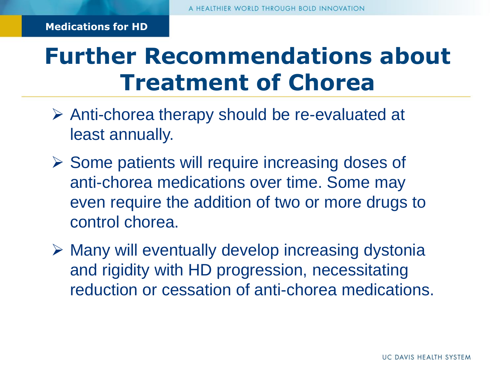# **Further Recommendations about Treatment of Chorea**

- $\triangleright$  Anti-chorea therapy should be re-evaluated at least annually.
- $\triangleright$  Some patients will require increasing doses of anti-chorea medications over time. Some may even require the addition of two or more drugs to control chorea.
- $\triangleright$  Many will eventually develop increasing dystonia and rigidity with HD progression, necessitating reduction or cessation of anti-chorea medications.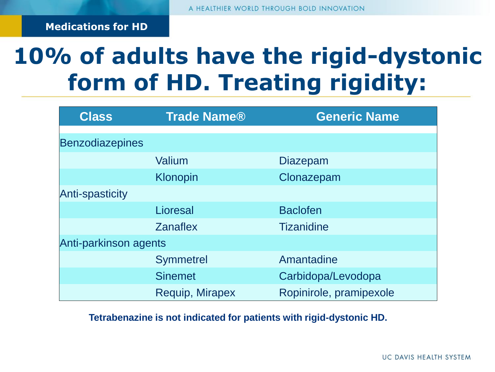# **10% of adults have the rigid-dystonic form of HD. Treating rigidity:**

| <b>Class</b>           | <b>Trade Name®</b> | <b>Generic Name</b>     |
|------------------------|--------------------|-------------------------|
| <b>Benzodiazepines</b> |                    |                         |
|                        | Valium             | <b>Diazepam</b>         |
|                        | Klonopin           | Clonazepam              |
| <b>Anti-spasticity</b> |                    |                         |
|                        | Lioresal           | <b>Baclofen</b>         |
|                        | <b>Zanaflex</b>    | <b>Tizanidine</b>       |
| Anti-parkinson agents  |                    |                         |
|                        | <b>Symmetrel</b>   | Amantadine              |
|                        | <b>Sinemet</b>     | Carbidopa/Levodopa      |
|                        | Requip, Mirapex    | Ropinirole, pramipexole |

#### **Tetrabenazine is not indicated for patients with rigid-dystonic HD.**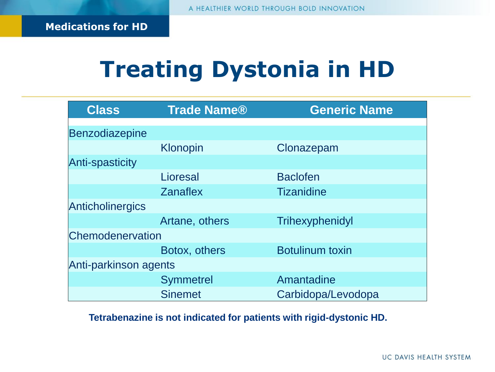# **Treating Dystonia in HD**

| <b>Class</b>            | <b>Trade Name®</b> | <b>Generic Name</b>    |
|-------------------------|--------------------|------------------------|
| Benzodiazepine          |                    |                        |
|                         | Klonopin           | Clonazepam             |
| <b>Anti-spasticity</b>  |                    |                        |
|                         | Lioresal           | <b>Baclofen</b>        |
|                         | <b>Zanaflex</b>    | <b>Tizanidine</b>      |
| <b>Anticholinergics</b> |                    |                        |
|                         | Artane, others     | Trihexyphenidyl        |
| Chemodenervation        |                    |                        |
|                         | Botox, others      | <b>Botulinum toxin</b> |
| Anti-parkinson agents   |                    |                        |
|                         | <b>Symmetrel</b>   | Amantadine             |
|                         | <b>Sinemet</b>     | Carbidopa/Levodopa     |

**Tetrabenazine is not indicated for patients with rigid-dystonic HD.**